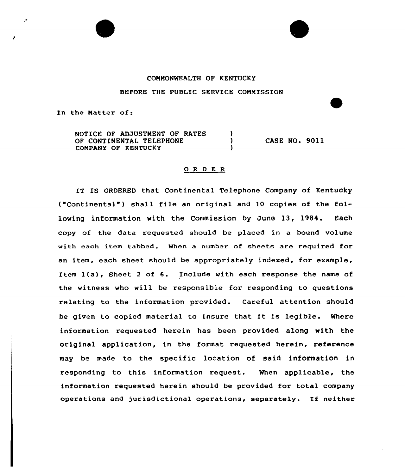## COMMONWEALTH OF KENTUCKY

BEFORE THE PUBLIC SERVICE COMMISSION

In the Natter of:

 $\bullet$ 

NOTICE OF ADJUSTMENT OF RATES -)  $\lambda$ CASE NO. 9011 OF CONTINENTAL TELEPHONE COMPANY OF KENTUCKY f,

## 0 <sup>R</sup> <sup>D</sup> E <sup>R</sup>

IT IS ORDERED that Continental Telephone Company of Kentucky ("Continental") shall file an original and 10 copies of the following information with the Commission by June 13, 1984. Each copy of the data requested should be placed in a bound volume with each item tabbed. When a number of sheets are required for an item, each sheet should be appropriately indexed, for example, Item i(a), Sheet <sup>2</sup> of 6. Include with each response the name of the witness who will be responsible for responding to questions relating to the information provided. Careful attention should be given to copied material to insure that it is legible. Where information requested herein has been provided along with the original application, in the format requested herein, reference may be made to the specific location of said information in responding to this information request. When applicable, the information requested herein should be provided for total company operations and jurisdictional operations, separately. If neither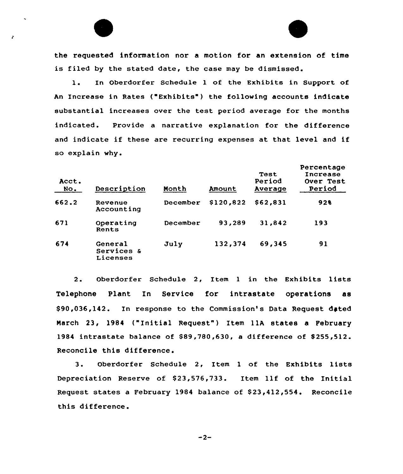the requested information nor a motion for an extension of time is filed by the stated date, the case may be dismissed.

1. In Oberdorfer Schedule 1 of the Exhibits in Support of An Increase in Rates ("Exhibits" ) the following accounts indicate substantial increases over the test period average for the months indicated. Provide a narrative explanation for the difference and indicate if these are recurring expenses at that level and if so explain why.

| Acct.<br>No. | Description                       | Month    | Amount    | Test<br>Period<br>Average | Percentage<br>Increase<br>Over Test<br>Period |
|--------------|-----------------------------------|----------|-----------|---------------------------|-----------------------------------------------|
| 662.2        | Revenue<br>Accounting             | December | \$120,822 | \$62,831                  | 928                                           |
| 671          | Operating<br>Rents                | December | 93,289    | 31.842                    | 193                                           |
| 674          | General<br>Services &<br>Licenses | July     | 132,374   | 69,345                    | 91                                            |

2. Oberdorfer Schedule 2, Item <sup>1</sup> in the Exhibits lists Telephone Plant In Service for intrastate operations as \$ 90,036,142. In response to the Commission's Data Request dated March 23, 1984 ("Initial Request") Item 11A states a February 1984 intrastate balance of \$89,780,630, a difference of \$255,512. Reconcile this difference.

3. Oberdorfer Schedule 2, Item <sup>1</sup> of the Exhibits lists Depreciation Reserve of \$23,576,733. Item llf of the Initial Request states a February 1984 balance of \$23,412,554. Reconcile this difference.

 $-2-$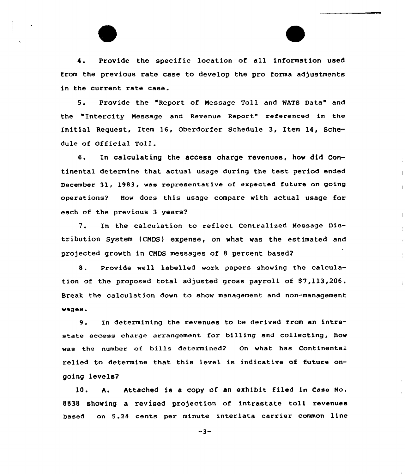4. Provide the specific location of all information used from the previous rate case to develop the pro forms adjustments in the current rate case.

5. Provide the "Report of Message Toll and WATS Data" and the "Intercity Message and Revenue Report" referenced in the Initial Request, Item 16, Oberdorfer Schedule 3, Item 14, Schedule of Official Toll.

6. In calculating the access charge revenues, how did Continental determine that actual usage during the test period ended December 31, 1983, was representative of expected future on going operations? How does this usage compare with actual usage for each of the previous 3 years?

7. In the calculation to reflect Centralized Message Distribution System (CNDS) expense, on what was the estimated and projected growth in CNDS messages of 8 percent based?

8. Provide well labelled work papers showing the calculation of the proposed total adjusted gross payroll of \$7,113,206. Break the calculation down to show management and non-management wages.

9. In determining the revenues to be derived from an intrastate access charge arrangement for billing and collecting, how was the number of bills determined? On what has Continental relied to determine that this level is indicative of future ongoing levels?

 $\overline{1}$ 

10. A. Attached is a copy of an exhibit filed in Case No. 8838 showing a revised projection of intrastate toll revenues based on 5.24 cents per minute interlata carrier common line

 $-3-$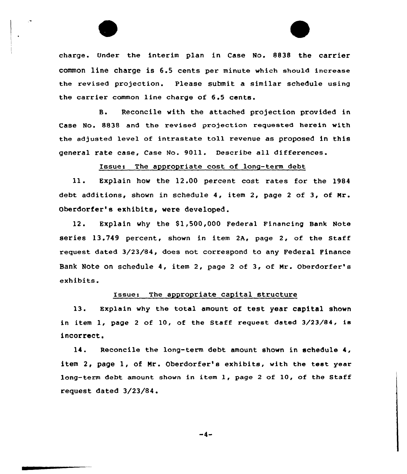charge. Under the interim plan in Case No. 8838 the carrier common line charge is 6.5 cents per minute which should increase the revised projection. Please submit a similar schedule using the carrier common line charge of 6.5 cents.

B. Reconcile with the attached projection provided in Case No. 8838 and the revised projection requested herein with the adjusted level of intrastate toll revenue as proposed in this general rate case, Case No. 9011. Describe all differences.

Issues The appropriate cost of long-term debt

ll. Explain how the 12.00 percent cost rates for the l984 debt additions, shown in schedule 4, item 2, page <sup>2</sup> of 3, of Mr . Oberdorfer's exhibits, were developed.

12. Explain why the 81,500,000 Federal Financing Bank Note series 13.749 percent, shown in item 2A, page 2, of the Staff request dated 3/23/84, does not correspond to any Federal Finance Bank Note on schedule 4, item 2, page <sup>2</sup> of 3, of Mr. Oberdorfer's exhibits.

## Issue: The appropriate capital structure

13. Explain why the total amount of test year capital shown in item I, page <sup>2</sup> of 10, of the Staff request dated 3/23/84, is incorrect.

14. Reconcile the lang-term debt amount shown in schedule 4, item 2, page 1, of Mr. Oberdorfer's exhibits, with the test year long-term debt amount shown in item I, page <sup>2</sup> of 10, of the Staff request dated 3/23/84.

 $-4-$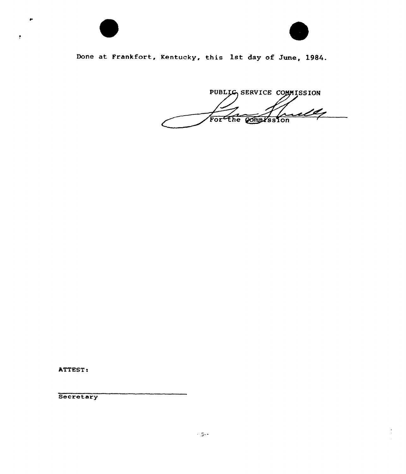

 $\bullet$ 



Done at Frankfort, Kentucky, this 1st day of June, 1984.

PUBLIG SERVICE COMMISSION ully For the Compression

ATTEST:

Secretary